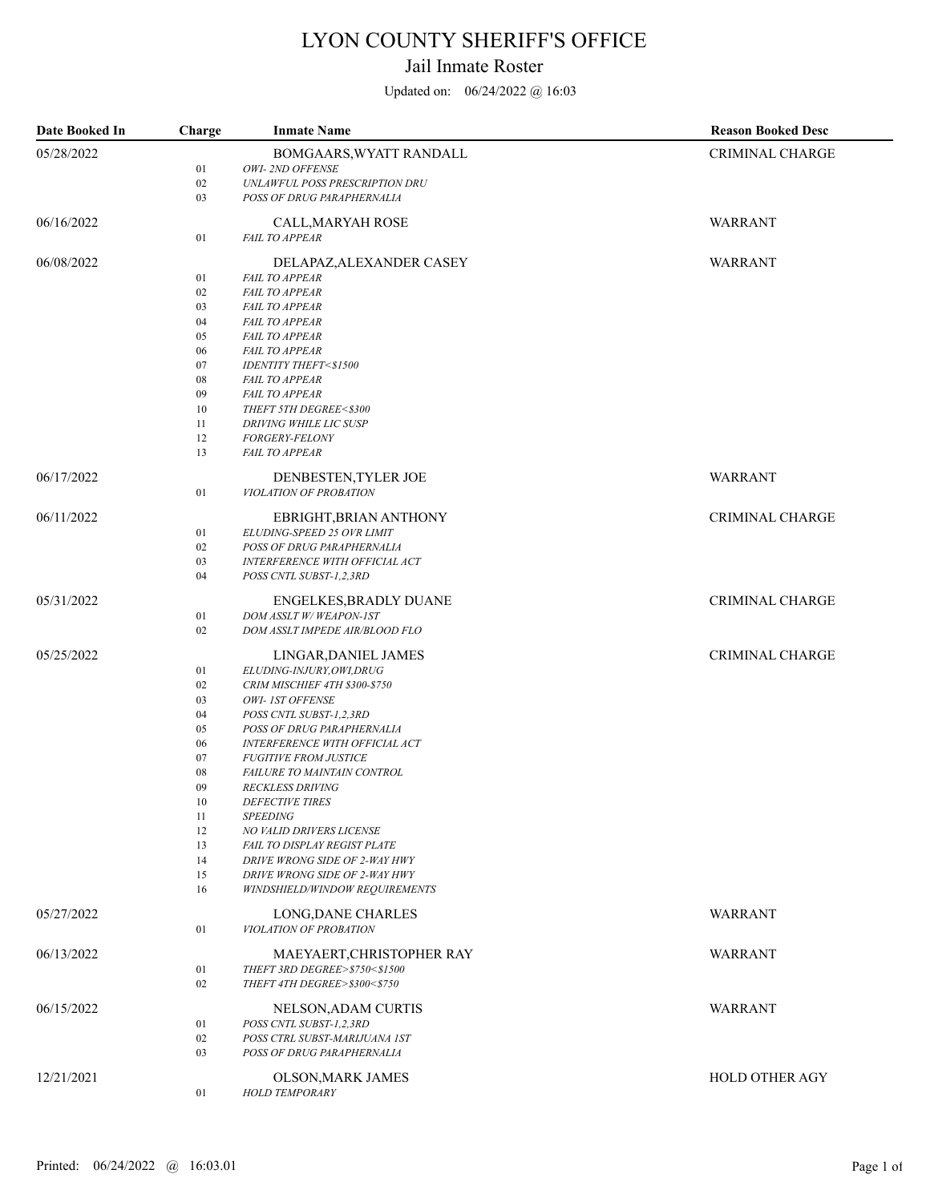## LYON COUNTY SHERIFF'S OFFICE

## Jail Inmate Roster

Updated on: 06/24/2022 @ 16:03

| Date Booked In | Charge   | <b>Inmate Name</b>                                             | <b>Reason Booked Desc</b> |
|----------------|----------|----------------------------------------------------------------|---------------------------|
| 05/28/2022     |          | BOMGAARS, WYATT RANDALL                                        | <b>CRIMINAL CHARGE</b>    |
|                | 01       | OWI-2ND OFFENSE                                                |                           |
|                | 02       | UNLAWFUL POSS PRESCRIPTION DRU                                 |                           |
|                | 03       | POSS OF DRUG PARAPHERNALIA                                     |                           |
| 06/16/2022     |          | CALL, MARYAH ROSE                                              | WARRANT                   |
|                | 01       | <b>FAIL TO APPEAR</b>                                          |                           |
| 06/08/2022     |          | DELAPAZ, ALEXANDER CASEY                                       | WARRANT                   |
|                | 01       | <b>FAIL TO APPEAR</b>                                          |                           |
|                | 02       | <b>FAIL TO APPEAR</b>                                          |                           |
|                | 03       | <b>FAIL TO APPEAR</b>                                          |                           |
|                | 04       | <b>FAIL TO APPEAR</b>                                          |                           |
|                | 05       | <b>FAIL TO APPEAR</b>                                          |                           |
|                | 06       | <b>FAIL TO APPEAR</b>                                          |                           |
|                | 07<br>08 | <b>IDENTITY THEFT&lt;\$1500</b><br><b>FAIL TO APPEAR</b>       |                           |
|                | 09       | <b>FAIL TO APPEAR</b>                                          |                           |
|                | 10       | THEFT 5TH DEGREE<\$300                                         |                           |
|                | 11       | <b>DRIVING WHILE LIC SUSP</b>                                  |                           |
|                | 12       | <b>FORGERY-FELONY</b>                                          |                           |
|                | 13       | <b>FAIL TO APPEAR</b>                                          |                           |
| 06/17/2022     |          | DENBESTEN, TYLER JOE                                           | WARRANT                   |
|                | 01       | VIOLATION OF PROBATION                                         |                           |
| 06/11/2022     |          | EBRIGHT, BRIAN ANTHONY                                         | <b>CRIMINAL CHARGE</b>    |
|                | 01       | ELUDING-SPEED 25 OVR LIMIT                                     |                           |
|                | 02       | POSS OF DRUG PARAPHERNALIA                                     |                           |
|                | 03       | INTERFERENCE WITH OFFICIAL ACT                                 |                           |
|                | 04       | POSS CNTL SUBST-1,2,3RD                                        |                           |
| 05/31/2022     |          | ENGELKES, BRADLY DUANE                                         | <b>CRIMINAL CHARGE</b>    |
|                | 01       | DOM ASSLT W/WEAPON-IST                                         |                           |
|                | 02       | DOM ASSLT IMPEDE AIR/BLOOD FLO                                 |                           |
| 05/25/2022     |          | LINGAR, DANIEL JAMES                                           | <b>CRIMINAL CHARGE</b>    |
|                | 01       | ELUDING-INJURY, OWI, DRUG                                      |                           |
|                | 02       | CRIM MISCHIEF 4TH \$300-\$750                                  |                           |
|                | 03       | OWI- IST OFFENSE                                               |                           |
|                | 04<br>05 | POSS CNTL SUBST-1,2,3RD<br>POSS OF DRUG PARAPHERNALIA          |                           |
|                | 06       | INTERFERENCE WITH OFFICIAL ACT                                 |                           |
|                | 07       | <b>FUGITIVE FROM JUSTICE</b>                                   |                           |
|                | 08       | FAILURE TO MAINTAIN CONTROL                                    |                           |
|                | 09       | <b>RECKLESS DRIVING</b>                                        |                           |
|                | 10       | DEFECTIVE TIRES                                                |                           |
|                | 11       | <b>SPEEDING</b>                                                |                           |
|                | 12       | NO VALID DRIVERS LICENSE                                       |                           |
|                | 13       | FAIL TO DISPLAY REGIST PLATE                                   |                           |
|                | 14<br>15 | DRIVE WRONG SIDE OF 2-WAY HWY<br>DRIVE WRONG SIDE OF 2-WAY HWY |                           |
|                | 16       | WINDSHIELD/WINDOW REQUIREMENTS                                 |                           |
| 05/27/2022     |          | LONG, DANE CHARLES                                             | WARRANT                   |
|                | 01       | VIOLATION OF PROBATION                                         |                           |
| 06/13/2022     |          | MAEYAERT, CHRISTOPHER RAY                                      | WARRANT                   |
|                | 01       | THEFT 3RD DEGREE>\$750<\$1500                                  |                           |
|                | 02       | THEFT 4TH DEGREE>\$300<\$750                                   |                           |
| 06/15/2022     |          | NELSON, ADAM CURTIS                                            | WARRANT                   |
|                | 01       | POSS CNTL SUBST-1,2,3RD                                        |                           |
|                | 02       | POSS CTRL SUBST-MARIJUANA IST                                  |                           |
|                | 03       | POSS OF DRUG PARAPHERNALIA                                     |                           |
| 12/21/2021     |          | OLSON, MARK JAMES                                              | HOLD OTHER AGY            |
|                | 01       | <b>HOLD TEMPORARY</b>                                          |                           |
|                |          |                                                                |                           |